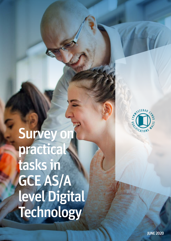Survey on practical tasks in GCE AS/A level Digital **Technology** 

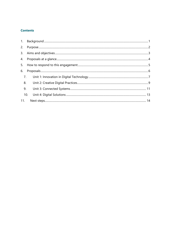# **Contents**

| 6.  |     |  |  |
|-----|-----|--|--|
|     | 7.  |  |  |
|     | 8.  |  |  |
|     | 9.  |  |  |
|     | 10. |  |  |
| 11. |     |  |  |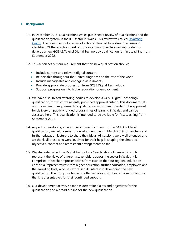# <span id="page-2-0"></span>**1. Background**

- 1.1. In December 2018, Qualifications Wales published a review of qualifications and the qualification system in the ICT sector in Wales. This review was called *[Delivering](https://www.qualificationswales.org/english/publications/delivering-digital-review-of-qualifications-in-the-ict-sector-2018/)  [Digital.](https://www.qualificationswales.org/english/publications/delivering-digital-review-of-qualifications-in-the-ict-sector-2018/)* The review set out a series of actions intended to address the issues it identified. Of these, action 6 set out our intention to invite awarding bodies to develop a new GCE AS/A level Digital Technology qualification for first teaching from September 2022.
- 1.2. This action set out our requirement that this new qualification should:
	- Include current and relevant digital content;
	- Be portable throughout the United Kingdom and the rest of the world;
	- Include manageable and engaging assessments;
	- Provide appropriate progression from GCSE Digital Technology;
	- Support progression into higher education or employment.
- 1.3. We have also invited awarding bodies to develop a GCSE Digital Technology qualification, for which we recently published approval criteria. This document sets out the minimum requirements a qualification must meet in order to be approved for delivery on publicly funded programmes of learning in Wales and can be accessed here. This qualification is intended to be available for first teaching from September 2021.
- 1.4. As part of developing an approval criteria document for the GCE AS/A level qualification, we held a series of development days in March 2019 for teachers and further education lecturers to share their ideas. All sessions were well attended and we thank all those who were involved for their help in shaping the aims and objectives, content and assessment arrangements so far.
- 1.5. We also established the Digital Technology Qualifications Advisory Group to represent the views of different stakeholders across the sector in Wales. It is comprised of teacher representatives from each of the four regional education consortia, representatives from higher education, further education, employers and the awarding body who has expressed its interest in developing the new qualification. The group continues to offer valuable insight into the sector and we thank representatives for their continued support.
- 1.6. Our development activity so far has determined aims and objectives for the qualification and a broad outline for the new qualification.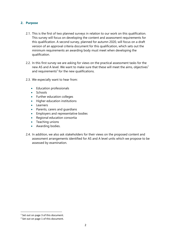## <span id="page-3-0"></span>**2. Purpose**

- 2.1. This is the first of two planned surveys in relation to our work on this qualification. This survey will focus on developing the content and assessment requirements for this qualification. A second survey, planned for autumn 2020, will focus on a draft version of an approval criteria document for this qualification, which sets out the minimum requirements an awarding body must meet when developing the qualification.
- 2.2. In this first survey we are asking for views on the practical assessment tasks for the new AS and A level. We want to make sure that these will meet the aims, objectives<sup>1</sup> and requirements<sup>2</sup> for the new qualifications.
- 2.3. We especially want to hear from:
	- Education professionals
	- Schools
	- Further education colleges
	- Higher education institutions
	- Learners
	- Parents, carers and guardians
	- Employers and representative bodies
	- Regional education consortia
	- Teaching unions
	- Awarding bodies.
- 2.4. In addition, we also ask stakeholders for their views on the proposed content and assessment arrangements identified for AS and A level units which we propose to be assessed by examination.

<sup>&</sup>lt;sup>1</sup> Set out on page 3 of this document.

<sup>&</sup>lt;sup>2</sup> Set out on page 1 of this document.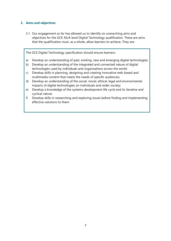# <span id="page-4-0"></span>**3. Aims and objectives**

3.1. Our engagement so far has allowed us to identify six overarching aims and objectives for the GCE AS/A level Digital Technology qualification. These are aims that the qualification must, as a whole, allow learners to achieve. They are:

The GCE Digital Technology specification should ensure learners:

- a) Develop an understanding of past, existing, new and emerging digital technologies;
- b) Develop an understanding of the integrated and connected nature of digital technologies used by individuals and organisations across the world;
- c) Develop skills in planning, designing and creating innovative web-based and multimedia content that meets the needs of specific audiences;
- d) Develop an understanding of the social, moral, ethical, legal and environmental impacts of digital technologies on individuals and wider society;
- e) Develop a knowledge of the systems development life cycle and its iterative and cyclical nature;
- f) Develop skills in researching and exploring issues before finding and implementing effective solutions to them.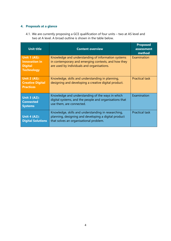# <span id="page-5-0"></span>**4. Proposals at a glance**

4.1. We are currently proposing a GCE qualification of four units – two at AS level and two at A level. A broad outline is shown in the table below.

| <b>Unit title</b>                                                                  | <b>Content overview</b>                                                                                                                                 | <b>Proposed</b><br>assessment<br>method |
|------------------------------------------------------------------------------------|---------------------------------------------------------------------------------------------------------------------------------------------------------|-----------------------------------------|
| <b>Unit 1 (AS):</b><br><b>Innovation in</b><br><b>Digital</b><br><b>Technology</b> | Knowledge and understanding of information systems<br>in contemporary and emerging contexts, and how they<br>are used by individuals and organisations. | Examination                             |
| <b>Unit 2 (AS):</b><br><b>Creative Digital</b><br><b>Practices</b>                 | Knowledge, skills and understanding in planning,<br>designing and developing a creative digital product.                                                | <b>Practical task</b>                   |
| <b>Unit 3 (A2):</b><br><b>Connected</b><br><b>Systems</b>                          | Knowledge and understanding of the ways in which<br>digital systems, and the people and organisations that<br>use them, are connected.                  | Examination                             |
| <b>Unit 4 (A2):</b><br><b>Digital Solutions</b>                                    | Knowledge, skills and understanding in researching,<br>planning, designing and developing a digital product<br>that solves an organisational problem.   | <b>Practical task</b>                   |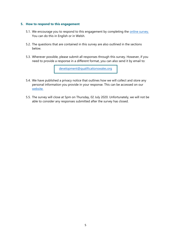#### <span id="page-6-0"></span>**5. How to respond to this engagement**

- 5.1. We encourage you to respond to this engagement by completing the **online survey**. You can do this in English or in Welsh.
- 5.2. The questions that are contained in this survey are also outlined in the sections below.
- 5.3. Wherever possible, please submit all responses through this survey. However, if you need to provide a response in a different format, you can also send it by email to:

[development@qualificationswales.org](mailto:development@qualificationswales.org)

- 5.4. We have published a privacy notice that outlines how we will collect and store any personal information you provide in your response. This can be accessed on our [website.](https://qualificationswales.org/english/privacy-policy/privacy-notice---asa-level-digital-technology-stakeholder-engagement/)
- 5.5. The survey will close at 5pm on Thursday, 02 July 2020. Unfortunately, we will not be able to consider any responses submitted after the survey has closed.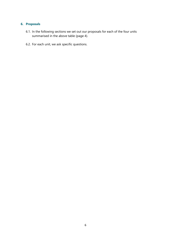# <span id="page-7-0"></span>**6. Proposals**

- 6.1. In the following sections we set out our proposals for each of the four units summarised in the above table (page 4).
- 6.2. For each unit, we ask specific questions.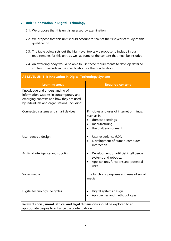# <span id="page-8-0"></span>**7. Unit 1: Innovation in Digital Technology**

- 7.1. We propose that this unit is assessed by examination.
- 7.2. We propose that this unit should account for half of the first year of study of this qualification.
- 7.3. The table below sets out the high-level topics we propose to include in our requirements for this unit, as well as some of the content that must be included.
- 7.4. An awarding body would be able to use these requirements to develop detailed content to include in the specification for the qualification.

| <b>AS LEVEL UNIT 1: Innovation in Digital Technology Systems</b>                                                                                                     |                                                                                                                                                     |  |  |
|----------------------------------------------------------------------------------------------------------------------------------------------------------------------|-----------------------------------------------------------------------------------------------------------------------------------------------------|--|--|
| <b>Learning areas</b>                                                                                                                                                | <b>Required content</b>                                                                                                                             |  |  |
| Knowledge and understanding of<br>information systems in contemporary and<br>emerging contexts and how they are used<br>by individuals and organisations, including: |                                                                                                                                                     |  |  |
| Connected systems and smart devices                                                                                                                                  | Principles and uses of internet of things,<br>such as in:<br>domestic settings<br>$\bullet$<br>manufacturing<br>$\bullet$<br>the built environment. |  |  |
| User-centred design                                                                                                                                                  | User experience (UX).<br>$\bullet$<br>Development of human-computer<br>$\bullet$<br>interaction.                                                    |  |  |
| Artificial intelligence and robotics                                                                                                                                 | Development of artificial intelligence<br>$\bullet$<br>systems and robotics.<br>Applications, functions and potential<br>$\bullet$<br>uses.         |  |  |
| Social media                                                                                                                                                         | The functions, purposes and uses of social<br>media.                                                                                                |  |  |
| Digital technology life cycles                                                                                                                                       | Digital systems design.<br>$\bullet$<br>Approaches and methodologies.                                                                               |  |  |
| Relevant social, moral, ethical and legal dimensions should be explored to an                                                                                        |                                                                                                                                                     |  |  |

appropriate degree to enhance the content above.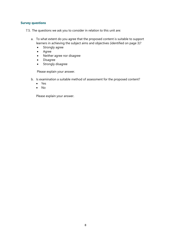### **Survey questions**

7.5. The questions we ask you to consider in relation to this unit are:

- a. To what extent do you agree that the proposed content is suitable to support learners in achieving the subject aims and objectives (identified on page 3)?
	- Strongly agree
	- Agree
	- Neither agree nor disagree
	- Disagree
	- Strongly disagree

Please explain your answer.

- b. Is examination a suitable method of assessment for the proposed content?
	- Yes
	- No

Please explain your answer.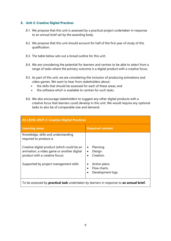## <span id="page-10-0"></span>**8. Unit 2: Creative Digital Practices**

- 8.1. We propose that this unit is assessed by a practical project undertaken in response to an annual brief set by the awarding body.
- 8.2. We propose that this unit should account for half of the first year of study of this qualification.
- 8.3. The table below sets out a broad outline for this unit.
- 8.4. We are considering the potential for learners and centres to be able to select from a range of tasks where the primary outcome is a digital product with a creative focus.
- 8.5. As part of this unit, we are considering the inclusion of producing animations and video games. We want to hear from stakeholders about:
	- the skills that should be assessed for each of these areas; *and*
	- the software which is available to centres for such tasks.
- 8.6. We also encourage stakeholders to suggest any other digital products with a creative focus that learners could develop in this unit. We would require any optional tasks to also be of comparable size and demand.

| AS LEVEL UNIT 2: Creative Digital Practices                                                                                 |                                                    |  |  |  |
|-----------------------------------------------------------------------------------------------------------------------------|----------------------------------------------------|--|--|--|
| <b>Learning areas</b>                                                                                                       | <b>Required content</b>                            |  |  |  |
| Knowledge, skills and understanding<br>required to produce a:                                                               |                                                    |  |  |  |
| Creative digital product (which could be an<br>animation, a video game or another digital<br>product with a creative focus) | Planning<br>٠<br>Design<br>Creation.               |  |  |  |
| Supported by project management skills                                                                                      | Action plans.<br>Flow charts.<br>Development logs. |  |  |  |
| To be assessed by <b>practical task</b> undertaken by learners in response to <b>an annual brief.</b>                       |                                                    |  |  |  |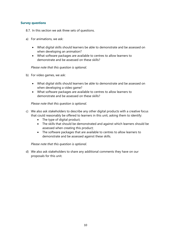### **Survey questions**

8.7. In this section we ask three sets of questions.

- a) For animations, we ask:
	- What digital skills should learners be able to demonstrate and be assessed on when developing an animation?
	- What software packages are available to centres to allow learners to demonstrate and be assessed on these skills?

*Please note that this question is optional.*

- b) For video games, we ask:
	- What digital skills should learners be able to demonstrate and be assessed on when developing a video game?
	- What software packages are available to centres to allow learners to demonstrate and be assessed on these skills?

*Please note that this question is optional.*

- c) We also ask stakeholders to describe any other digital products with a creative focus that could reasonably be offered to learners in this unit, asking them to identify:
	- The type of digital product;
	- The skills that should be demonstrated and against which learners should be assessed when creating this product;
	- The software packages that are available to centres to allow learners to demonstrate and be assessed against these skills.

*Please note that this question is optional.*

d) We also ask stakeholders to share any additional comments they have on our proposals for this unit.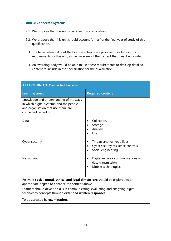# <span id="page-12-0"></span>**9. Unit 3: Connected Systems**

- 9.1. We propose that this unit is assessed by examination.
- 9.2. We propose that this unit should account for half of the final year of study of this qualification.
- 9.3. The table below sets out the high-level topics we propose to include in our requirements for this unit, as well as some of the content that must be included.
- 9.4. An awarding body would be able to use these requirements to develop detailed content to include in the specification for the qualification.

| <b>A2 LEVEL UNIT 3: Connected Systems</b>                                                                                                           |                                                                                               |  |  |  |
|-----------------------------------------------------------------------------------------------------------------------------------------------------|-----------------------------------------------------------------------------------------------|--|--|--|
| <b>Learning areas</b>                                                                                                                               | <b>Required content</b>                                                                       |  |  |  |
| Knowledge and understanding of the ways<br>in which digital systems, and the people<br>and organisation that use them, are<br>connected, including: |                                                                                               |  |  |  |
| Data                                                                                                                                                | Collection.<br>Storage.<br>Analysis.<br>Use.                                                  |  |  |  |
| Cyber security                                                                                                                                      | Threats and vulnerabilities.<br>Cyber security resilience controls.<br>Social engineering.    |  |  |  |
| Networking                                                                                                                                          | Digital network communications and<br>data transmission.<br>Mobile technologies.<br>$\bullet$ |  |  |  |
| Relevant social, moral, ethical and legal dimensions should be explored to an<br>appropriate degree to enhance the content above.                   |                                                                                               |  |  |  |
| Learners should develop skills in communicating, evaluating and analysing digital<br>technology concepts through extended written responses.        |                                                                                               |  |  |  |
| To be assessed by examination.                                                                                                                      |                                                                                               |  |  |  |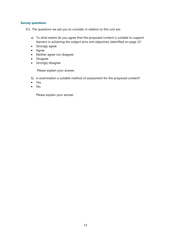### **Survey questions**

9.5. The questions we ask you to consider in relation to this unit are:

- a) To what extent do you agree that the proposed content is suitable to support learners in achieving the subject aims and objectives (identified on page 3)?
- Strongly agree
- Agree
- Neither agree nor disagree
- Disagree
- Strongly disagree

Please explain your answer.

- b) Is examination a suitable method of assessment for the proposed content?
- Yes.
- $\bullet$  No.

Please explain your answer.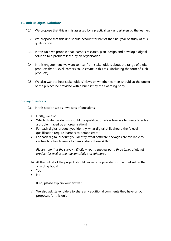#### <span id="page-14-0"></span>**10. Unit 4: Digital Solutions**

- 10.1. We propose that this unit is assessed by a practical task undertaken by the learner.
- 10.2. We propose that this unit should account for half of the final year of study of this qualification.
- 10.3. In this unit, we propose that learners research, plan, design and develop a digital solution to a problem faced by an organisation.
- 10.4. In this engagement, we want to hear from stakeholders about the range of digital products that A level learners could create in this task (including the form of such products).
- 10.5. We also want to hear stakeholders' views on whether learners should, at the outset of the project, be provided with a brief set by the awarding body.

### **Survey questions**

- 10.6. In this section we ask two sets of questions.
	- a) Firstly, we ask:
	- Which digital product(s) should the qualification allow learners to create to solve a problem faced by an organisation?
	- For each digital product you identify, what digital skills should the A level qualification require learners to demonstrate?
	- For each digital product you identify, what software packages are available to centres to allow learners to demonstrate these skills?

*Please note that the survey will allow you to suggest up to three types of digital product (as well as the relevant skills and software).*

- b) At the outset of the project, should learners be provided with a brief set by the awarding body?
- Yes
- $N<sub>0</sub>$

If no, please explain your answer.

c) We also ask stakeholders to share any additional comments they have on our proposals for this unit.